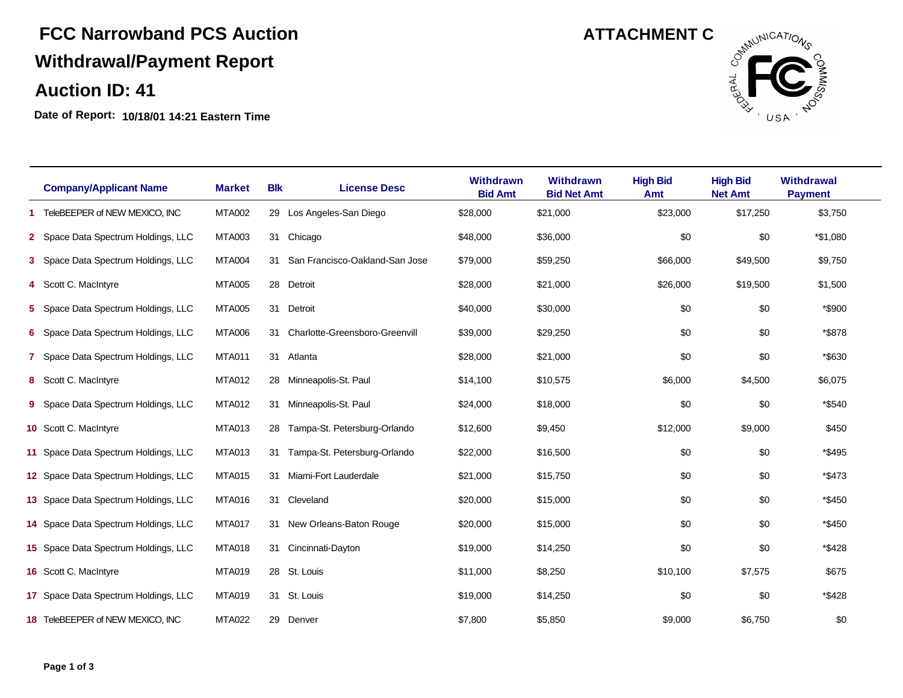## **FCC Narrowband PCS Auction Withdrawal/Payment Report Auction ID: 41**

**Date of Report: 10/18/01 14:21 Eastern Time**

**ATTACHMENT C**



| <b>Company/Applicant Name</b>        | <b>Market</b> | <b>Blk</b> | <b>License Desc</b>             | Withdrawn<br><b>Bid Amt</b> | <b>Withdrawn</b><br><b>Bid Net Amt</b> | <b>High Bid</b><br>Amt | <b>High Bid</b><br><b>Net Amt</b> | <b>Withdrawal</b><br><b>Payment</b> |
|--------------------------------------|---------------|------------|---------------------------------|-----------------------------|----------------------------------------|------------------------|-----------------------------------|-------------------------------------|
| TeleBEEPER of NEW MEXICO, INC        | <b>MTA002</b> | 29         | Los Angeles-San Diego           | \$28,000                    | \$21,000                               | \$23,000               | \$17,250                          | \$3,750                             |
| 2 Space Data Spectrum Holdings, LLC  | <b>MTA003</b> |            | 31 Chicago                      | \$48,000                    | \$36,000                               | \$0                    | \$0                               | *\$1,080                            |
| 3 Space Data Spectrum Holdings, LLC  | <b>MTA004</b> | 31         | San Francisco-Oakland-San Jose  | \$79,000                    | \$59,250                               | \$66,000               | \$49,500                          | \$9,750                             |
| 4 Scott C. MacIntyre                 | <b>MTA005</b> | 28         | Detroit                         | \$28,000                    | \$21,000                               | \$26,000               | \$19,500                          | \$1,500                             |
| 5 Space Data Spectrum Holdings, LLC  | <b>MTA005</b> | 31         | Detroit                         | \$40,000                    | \$30,000                               | \$0                    | \$0                               | *\$900                              |
| 6 Space Data Spectrum Holdings, LLC  | <b>MTA006</b> | 31         | Charlotte-Greensboro-Greenvill  | \$39,000                    | \$29,250                               | \$0                    | \$0                               | *\$878                              |
| 7 Space Data Spectrum Holdings, LLC  | <b>MTA011</b> |            | 31 Atlanta                      | \$28,000                    | \$21,000                               | \$0                    | \$0                               | *\$630                              |
| 8 Scott C. MacIntyre                 | <b>MTA012</b> | 28         | Minneapolis-St. Paul            | \$14,100                    | \$10,575                               | \$6,000                | \$4,500                           | \$6,075                             |
| 9 Space Data Spectrum Holdings, LLC  | <b>MTA012</b> |            | 31 Minneapolis-St. Paul         | \$24,000                    | \$18,000                               | \$0                    | \$0                               | *\$540                              |
| <b>10</b> Scott C. MacIntyre         | <b>MTA013</b> |            | 28 Tampa-St. Petersburg-Orlando | \$12,600                    | \$9,450                                | \$12,000               | \$9,000                           | \$450                               |
| 11 Space Data Spectrum Holdings, LLC | <b>MTA013</b> |            | 31 Tampa-St. Petersburg-Orlando | \$22,000                    | \$16,500                               | \$0                    | \$0                               | *\$495                              |
| 12 Space Data Spectrum Holdings, LLC | <b>MTA015</b> |            | 31 Miami-Fort Lauderdale        | \$21,000                    | \$15,750                               | \$0                    | \$0                               | *\$473                              |
| 13 Space Data Spectrum Holdings, LLC | <b>MTA016</b> |            | 31 Cleveland                    | \$20,000                    | \$15,000                               | \$0                    | \$0                               | *\$450                              |
| 14 Space Data Spectrum Holdings, LLC | MTA017        | 31         | New Orleans-Baton Rouge         | \$20,000                    | \$15,000                               | \$0                    | \$0                               | *\$450                              |
| 15 Space Data Spectrum Holdings, LLC | <b>MTA018</b> | 31         | Cincinnati-Dayton               | \$19,000                    | \$14,250                               | \$0                    | \$0                               | *\$428                              |
| 16 Scott C. MacIntyre                | <b>MTA019</b> | 28         | St. Louis                       | \$11,000                    | \$8,250                                | \$10,100               | \$7,575                           | \$675                               |
| 17 Space Data Spectrum Holdings, LLC | <b>MTA019</b> | 31         | St. Louis                       | \$19,000                    | \$14,250                               | \$0                    | \$0                               | *\$428                              |
| 18 TeleBEEPER of NEW MEXICO. INC     | <b>MTA022</b> | 29         | Denver                          | \$7,800                     | \$5,850                                | \$9,000                | \$6,750                           | \$0                                 |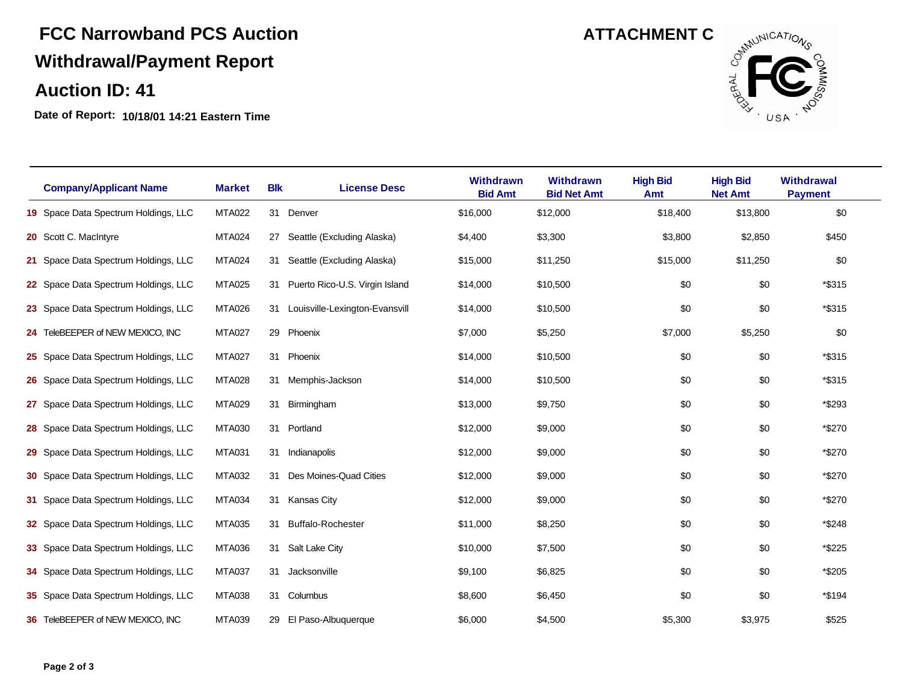## **FCC Narrowband PCS Auction Withdrawal/Payment Report Auction ID: 41**

**Date of Report: 10/18/01 14:21 Eastern Time**

**ATTACHMENT C**



| <b>Company/Applicant Name</b>        | <b>Market</b> | <b>Blk</b> | <b>License Desc</b>               | <b>Withdrawn</b><br><b>Bid Amt</b> | <b>Withdrawn</b><br><b>Bid Net Amt</b> | <b>High Bid</b><br>Amt | <b>High Bid</b><br><b>Net Amt</b> | <b>Withdrawal</b><br><b>Payment</b> |
|--------------------------------------|---------------|------------|-----------------------------------|------------------------------------|----------------------------------------|------------------------|-----------------------------------|-------------------------------------|
| 19 Space Data Spectrum Holdings, LLC | <b>MTA022</b> |            | 31 Denver                         | \$16,000                           | \$12,000                               | \$18,400               | \$13,800                          | \$0                                 |
| 20 Scott C. MacIntyre                | <b>MTA024</b> | 27         | Seattle (Excluding Alaska)        | \$4,400                            | \$3,300                                | \$3,800                | \$2,850                           | \$450                               |
| 21 Space Data Spectrum Holdings, LLC | <b>MTA024</b> |            | 31 Seattle (Excluding Alaska)     | \$15,000                           | \$11,250                               | \$15,000               | \$11,250                          | \$0                                 |
| 22 Space Data Spectrum Holdings, LLC | <b>MTA025</b> |            | 31 Puerto Rico-U.S. Virgin Island | \$14,000                           | \$10,500                               | \$0                    | \$0                               | *\$315                              |
| 23 Space Data Spectrum Holdings, LLC | <b>MTA026</b> |            | 31 Louisville-Lexington-Evansvill | \$14,000                           | \$10,500                               | \$0                    | \$0                               | *\$315                              |
| 24 TeleBEEPER of NEW MEXICO, INC     | <b>MTA027</b> |            | 29 Phoenix                        | \$7,000                            | \$5,250                                | \$7,000                | \$5,250                           | \$0                                 |
| 25 Space Data Spectrum Holdings, LLC | <b>MTA027</b> |            | 31 Phoenix                        | \$14,000                           | \$10,500                               | \$0                    | \$0                               | *\$315                              |
| 26 Space Data Spectrum Holdings, LLC | <b>MTA028</b> |            | 31 Memphis-Jackson                | \$14,000                           | \$10,500                               | \$0                    | \$0                               | *\$315                              |
| 27 Space Data Spectrum Holdings, LLC | <b>MTA029</b> |            | 31 Birmingham                     | \$13,000                           | \$9,750                                | \$0                    | \$0                               | *\$293                              |
| 28 Space Data Spectrum Holdings, LLC | <b>MTA030</b> |            | 31 Portland                       | \$12,000                           | \$9,000                                | \$0                    | \$0                               | *\$270                              |
| 29 Space Data Spectrum Holdings, LLC | <b>MTA031</b> |            | 31 Indianapolis                   | \$12,000                           | \$9,000                                | \$0                    | \$0                               | *\$270                              |
| 30 Space Data Spectrum Holdings, LLC | <b>MTA032</b> |            | 31 Des Moines-Quad Cities         | \$12,000                           | \$9,000                                | \$0                    | \$0                               | *\$270                              |
| 31 Space Data Spectrum Holdings, LLC | <b>MTA034</b> |            | 31 Kansas City                    | \$12,000                           | \$9,000                                | \$0                    | \$0                               | *\$270                              |
| 32 Space Data Spectrum Holdings, LLC | <b>MTA035</b> | 31         | <b>Buffalo-Rochester</b>          | \$11,000                           | \$8,250                                | \$0                    | \$0                               | *\$248                              |
| 33 Space Data Spectrum Holdings, LLC | <b>MTA036</b> | 31         | Salt Lake City                    | \$10,000                           | \$7,500                                | \$0                    | \$0                               | *\$225                              |
| 34 Space Data Spectrum Holdings, LLC | <b>MTA037</b> | 31         | Jacksonville                      | \$9,100                            | \$6,825                                | \$0                    | \$0                               | *\$205                              |
| 35 Space Data Spectrum Holdings, LLC | <b>MTA038</b> |            | 31 Columbus                       | \$8,600                            | \$6,450                                | \$0                    | \$0                               | *\$194                              |
| 36 TeleBEEPER of NEW MEXICO, INC     | <b>MTA039</b> | 29         | El Paso-Albuquerque               | \$6,000                            | \$4,500                                | \$5,300                | \$3,975                           | \$525                               |